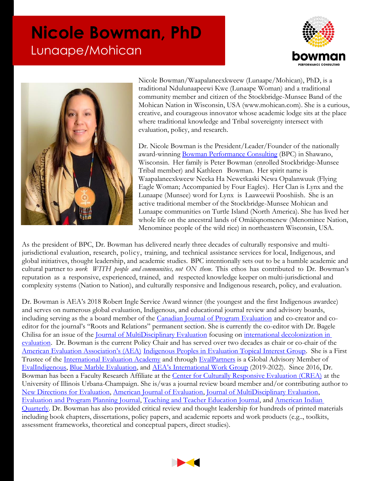## **Nicole Bowman, PhD** Lunaape/Mohican





Nicole Bowman/Waapalaneexkweew (Lunaape/Mohican), PhD, is a traditional Ndulunaapeewi Kwe (Lunaape Woman) and a traditional community member and citizen of the Stockbridge-Munsee Band of the Mohican Nation in Wisconsin, USA (www.mohican.com). She is a curious, creative, and courageous innovator whose academic lodge sits at the place where traditional knowledge and Tribal sovereignty intersect with evaluation, policy, and research.

Dr. Nicole Bowman is the President/Leader/Founder of the nationally award-winning Bowman [Performance Consulting](https://www.bpcwi.com/) (BPC) in Shawano, Wisconsin. Her family is Peter Bowman (enrolled Stockbridge-Munsee Tribal member) and Kathleen Bowman. Her spirit name is Waapalaneexkweew Neeka Ha Newetkaski Newa Opalanwuuk (Flying Eagle Woman; Accompanied by Four Eagles). Her Clan is Lynx and the Lunaape (Munsee) word for Lynx is Laaweewii Pooshiish. She is an active traditional member of the Stockbridge-Munsee Mohican and Lunaape communities on Turtle Island (North America). She has lived her whole life on the ancestral lands of Omāēqnomenew (Menominee Nation, Menominee people of the wild rice) in northeastern Wisconsin, USA.

As the president of BPC, Dr. Bowman has delivered nearly three decades of culturally responsive and multijurisdictional evaluation, research, policy, training, and technical assistance services for local, Indigenous, and global initiatives, thought leadership, and academic studies. BPC intentionally sets out to be a humble academic and cultural partner to *work WITH people and communities, not ON them*. This ethos has contributed to Dr. Bowman's reputation as a responsive, experienced, trained, and respected knowledge keeper on multi-jurisdictional and complexity systems (Nation to Nation), and culturally responsive and Indigenous research, policy, and evaluation.

Dr. Bowman is AEA's 2018 Robert Ingle Service Award winner (the youngest and the first Indigenous awardee) and serves on numerous global evaluation, Indigenous, and educational journal review and advisory boards, including serving as the a board member of the [Canadian Journal of Program Evaluation](https://journalhosting.ucalgary.ca/index.php/cjpe) and co-creator and coeditor for the journal's "Roots and Relations" permanent section. She is currently the co-editor with Dr. Bagele Chilisa for an issue of the [Journal of MultiDisciplinary Evaluation](https://journals.sfu.ca/jmde/index.php/jmde_1/index) focusing on [international decolonization in](https://journals.sfu.ca/jmde/index.php/jmde_1/announcement/view/21)  [evaluation.](https://journals.sfu.ca/jmde/index.php/jmde_1/announcement/view/21) Dr. Bowman is the current Policy Chair and has served over two decades as chair or co-chair of the [American Evaluation Association's \(AEA\)](https://www.eval.org/) [Indigenous Peoples in Evaluation Topical Interest Group.](https://comm.eval.org/aeaipetig/home) She is a First Trustee of the [International Evaluation Academy](https://ieac.global/) and through [EvalPartners](https://www.evalpartners.org/) is a Global Advisory Member of [EvalIndigenous,](https://www.evalpartners.org/evalindigenous/about) [Blue Marble Evaluation,](https://bluemarbleeval.org/about/global-advisory-council) and [AEA's International Work Group](https://www.eval.org/Community/International-Partnerships) (2019-2022). Since 2016, Dr. Bowman has been a Faculty Research Affiliate at the [Center for Culturally Responsive Evaluation \(CREA\)](https://crea.education.illinois.edu/home/affiliate-faculty) at the University of Illinois Urbana-Champaign. She is/was a journal review board member and/or contributing author to [New Directions for Evaluation,](https://onlinelibrary.wiley.com/journal/1534875x) [American Journal of Evaluation,](https://journals.sagepub.com/home/aje) [Journal of MultiDisciplinary Evaluation,](https://journals.sfu.ca/jmde/index.php/jmde_1) [Evaluation and Program Planning Journal,](https://www.journals.elsevier.com/evaluation-and-program-planning) [Teaching and Teacher Education Journal,](https://www.journals.elsevier.com/teaching-and-teacher-education) and [American Indian](https://www.jstor.org/journal/amerindiquar)  [Quarterly.](https://www.jstor.org/journal/amerindiquar) Dr. Bowman has also provided critical review and thought leadership for hundreds of printed materials including book chapters, dissertations, policy papers, and academic reports and work products (e.g.., toolkits, assessment frameworks, theoretical and conceptual papers, direct studies).